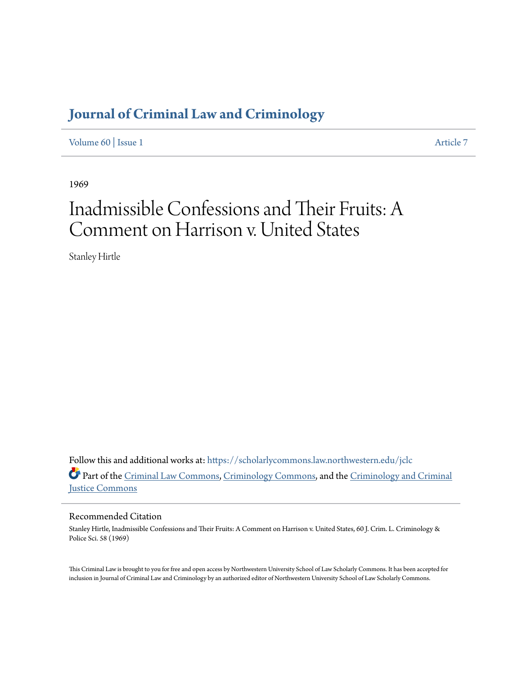## **[Journal of Criminal Law and Criminology](https://scholarlycommons.law.northwestern.edu/jclc?utm_source=scholarlycommons.law.northwestern.edu%2Fjclc%2Fvol60%2Fiss1%2F7&utm_medium=PDF&utm_campaign=PDFCoverPages)**

[Volume 60](https://scholarlycommons.law.northwestern.edu/jclc/vol60?utm_source=scholarlycommons.law.northwestern.edu%2Fjclc%2Fvol60%2Fiss1%2F7&utm_medium=PDF&utm_campaign=PDFCoverPages) | [Issue 1](https://scholarlycommons.law.northwestern.edu/jclc/vol60/iss1?utm_source=scholarlycommons.law.northwestern.edu%2Fjclc%2Fvol60%2Fiss1%2F7&utm_medium=PDF&utm_campaign=PDFCoverPages) [Article 7](https://scholarlycommons.law.northwestern.edu/jclc/vol60/iss1/7?utm_source=scholarlycommons.law.northwestern.edu%2Fjclc%2Fvol60%2Fiss1%2F7&utm_medium=PDF&utm_campaign=PDFCoverPages)

1969

# Inadmissible Confessions and Their Fruits: A Comment on Harrison v. United States

Stanley Hirtle

Follow this and additional works at: [https://scholarlycommons.law.northwestern.edu/jclc](https://scholarlycommons.law.northwestern.edu/jclc?utm_source=scholarlycommons.law.northwestern.edu%2Fjclc%2Fvol60%2Fiss1%2F7&utm_medium=PDF&utm_campaign=PDFCoverPages) Part of the [Criminal Law Commons](http://network.bepress.com/hgg/discipline/912?utm_source=scholarlycommons.law.northwestern.edu%2Fjclc%2Fvol60%2Fiss1%2F7&utm_medium=PDF&utm_campaign=PDFCoverPages), [Criminology Commons](http://network.bepress.com/hgg/discipline/417?utm_source=scholarlycommons.law.northwestern.edu%2Fjclc%2Fvol60%2Fiss1%2F7&utm_medium=PDF&utm_campaign=PDFCoverPages), and the [Criminology and Criminal](http://network.bepress.com/hgg/discipline/367?utm_source=scholarlycommons.law.northwestern.edu%2Fjclc%2Fvol60%2Fiss1%2F7&utm_medium=PDF&utm_campaign=PDFCoverPages) [Justice Commons](http://network.bepress.com/hgg/discipline/367?utm_source=scholarlycommons.law.northwestern.edu%2Fjclc%2Fvol60%2Fiss1%2F7&utm_medium=PDF&utm_campaign=PDFCoverPages)

### Recommended Citation

Stanley Hirtle, Inadmissible Confessions and Their Fruits: A Comment on Harrison v. United States, 60 J. Crim. L. Criminology & Police Sci. 58 (1969)

This Criminal Law is brought to you for free and open access by Northwestern University School of Law Scholarly Commons. It has been accepted for inclusion in Journal of Criminal Law and Criminology by an authorized editor of Northwestern University School of Law Scholarly Commons.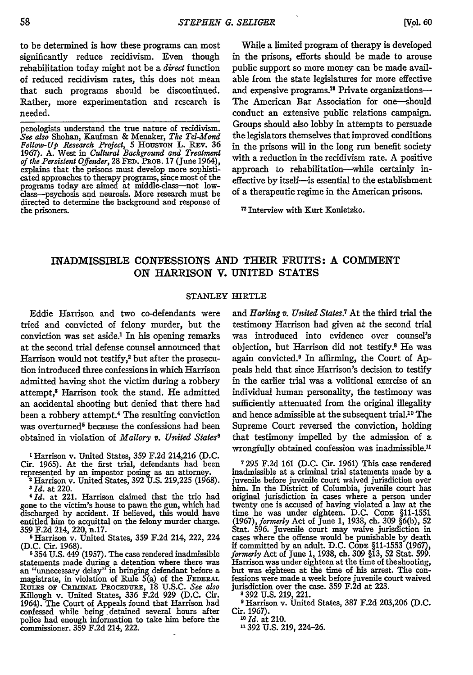to be determined is how these programs can most significantly reduce recidivism. Even though rehabilitation today might not be a *direct* function of reduced recidivism rates, this does not mean that such programs should be discontinued. Rather, more experimentation and research is

penologists understand the true nature of recidivism. *See also* Shohan, Kaufman & Menaker, *The Tel-Mond Follow-Up Research Project,* 5 HousToN L. Rxv. **36 1967).** A. West in *Cultural Background and Treatment of the Persistent Offender,* 28 **FED.** PROB. 17 (June 1964), explains that the prisons must develop more sophisticated approaches to therapy programs, since most of the programs today are aimed at middle-class-not lowclass-psychosis and neurosis. More research must be directed to determine the background and response of the prisoners.

While a limited program of therapy is developed in the prisons, efforts should be made to arouse public support so more money can be made available from the state legislatures for more effective and expensive programs.<sup>78</sup> Private organizations-The American Bar Association for one--should conduct an extensive public relations campaign. Groups should also lobby in attempts to persuade the legislators themselves that improved conditions in the prisons will in the long run benefit society with a reduction in the recidivism rate. A positive approach to rehabilitation-while certainly ineffective by itself-is essential to the establishment of a therapeutic regime in the American prisons.

**<sup>7</sup>**Interview with Kurt Konietzko.

#### INADMISSIBLE **CONFESSIONS AND** THEIR FRUITS: **A COMMENT ON** HARRISON V. **UNITED STATES**

#### STANLEY HIRTLE

Eddie Harrison and two co-defendants were tried and convicted of felony murder, but the conviction was set aside.<sup>1</sup> In his opening remarks at the second trial defense counsel announced that Harrison would not testify,<sup>2</sup> but after the prosecution introduced three confessions in which Harrison admitted having shot the victim during a robbery attempt,<sup>8</sup> Harrison took the stand. He admitted an accidental shooting but denied that there had been a robbery attempt.4 The resulting conviction was overturned<sup>5</sup> because the confessions had been obtained in violation of *Mallory v. United States<sup>6</sup>*

**I** Harrison v. United States, 359 F.2d 214,216 (D.C. Cir. 1965). At the first trial, defendants had been<br>represented by an impostor posing as an attorney.<br><sup>2</sup> Harrison v. United States, 392 U.S. 219,225 (1968).<br>*3Id.* at 220.

*'Id.* at 221. Harrison claimed that the trio had

gone to the victim's house to pawn the gun, which had discharged by accident. If believed, this would have entitled **him** to acquittal on the felony murder charge.

<sup>5</sup> Harrison v. United States, 359 F.2d 214, 222, 224 (D.C. Cir. 1968). **<sup>6</sup>**354 **U.S.** 449 (1957). The case rendered inadmissible

statements made during a detention where there was an "unnecessary delay" in bringing defendant before a magistrate, in violation of Rule 5(a) of the **FEDERAL** RULES OF CRIMINAL PROCEDURE, 18 U.S.C. *See also*<br>Killough v. United States, 336 F.2d 929 (D.C. Cir.<br>1964). The Court of Appeals found that Harrison had confessed while being .detained several hours after police had enough information to take him before the commissioner. 359 F.2d 214, 222.

and *Harling v. United States*.<sup>7</sup> At the third trial the testimony Harrison had given at the second trial was introduced into evidence over counsel's objection, but Harrison did not testify.8 He was again convicted.9 In affirming, the Court of **Ap**peals held that since Harrison's decision to testify in the earlier trial was a volitional exercise of an individual human personality, the testimony was sufficiently attenuated from the original illegality and hence admissible at the subsequent trial.<sup>10</sup> The Supreme Court reversed the conviction, holding that testimony impelled by the admission of a wrongfully obtained confession was inadmissible.<sup>11</sup>

7295 F.2d **161** (D.C. Cir. **1961)** This case rendered inadmissible at a criminal trial statements made by a juvenile before juvenile court waived jurisdiction over him. **In** the District of Columbia, juvenile court has original jurisdiction in cases where a person under twenty one is accused of having violated a law at the time he was under eighteen. D.C. Cone §11-1551 (1967), *formerly* Act of June 1, 1938, ch. 309 §6(b), 52 Stat. 596. Juvenile court may waive jurisdiction in<br>cases where the offense would be punishable by death<br>if committed by an adult. D.C. CODE \$11-1553 (1967),<br>formerly Act of June 1, 1938, ch. 309 \$13, 52 Stat. 599.<br>Harriso jurisdiction over the case. 359 F.2d at 223. **8 392** U.S. 219, 221.

**9** Harrison v. United States, 387 F.2d 203,206 (D.C. Cir. 1967).

*1 0 Id.* at 210.

needed.

**<sup>&</sup>quot;392 U.S. 219,** 224-26.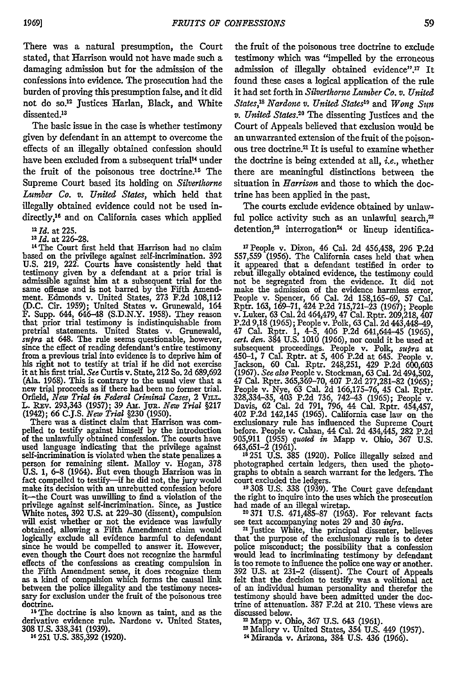There was a natural presumption, the Court stated, that Harrison would not have made such a damaging admission but for the admission of the confessions into evidence. The prosecution had the burden of proving this presumption false, and it did not do **so <sup>2</sup>**Justices Harlan, Black, and White dissented.<sup>13</sup>

The basic issue in the case is whether testimony given **by** defendant in an attempt to overcome the effects of an illegally obtained confession should have been excluded from a subsequent trial<sup>14</sup> under the fruit of the poisonous tree doctrine.<sup>15</sup> The Supreme Court based its holding on *Silverthorne Lumber Co. v. United States,* which held that illegally obtained evidence could not be used indirectly,<sup>16</sup> and on California cases which applied

*<sup>12</sup>Id.* at **225.**

*11 Id.* at **226-28.**

**14 The** Court first held that Harrison had no claim based on the privilege against self-incrimination. 392 U.S. 219, 222. Courts have consistently held that testimony given **by** a defendant at a prior trial is admissible against him at a subsequent trial for the same offense and is not barred by the Fifth Amend-ment. Edmonds v. United States, 273 F.2d 108,112 (D.C. Cir. 1959); United States v. Grunewald, 164 F. Supp. 644, 646-48 (S.D.N.Y. 1958). They reason that prior trial testimony is indistinquishable from that prior trial testimony is indistinguishable from pretrial statements. United States v. Grunewald, *supra* at 648. The rule seems questionable, however, since the effect of reading defendant's entire testimony from a previous trial into evidence is to deprive him of his right not to testify at trial if he did not exercise it at his first trial. *See* Curtis v. State, 212 So. 2d 689,692 (Ala. 1968). This is contrary to the usual view that a new trial proceeds as if there had been no former trial. Orfield, *New Trial in Federal Criminal Cases,* 2 VII. L. REv. **293,343 (1957); 39** Am. JuR. *New Trial* §217

(1942); **66 C.J.S.** *New Trial* **§230 (1950).** There was a distinct claim that Harrison was com- pelled to testify against himself **by** the introduction pelled to testify against himself by the introduction<br>of the unlawfully obtained confession. The courts have used language indicating that the privilege against self-incrimination is violated when the state penalizes a person for remaining silent. Malloy v. Hogan, 378<br>U.S. 1, 6-8 (1964). But even though Harrison was in fact compelled to testify-if he did not, the jury would make its decision with an unrebutted confession before it-the Court was unwilling to find a violation of the privilege against self-incrimination. Since, as Justice White notes, 392 U.S. at 229-30 (dissent), compulsion will exist whether or not the evidence was lawfully obtained, allowing a Fifth Amendment claim would obtained, allowing a Fifth Amendment claim would logically exclude all evidence harmful to defendant since he would be compelled to answer it. However, even though the Court does not recognize the harmful effects of the confessions as creating compulsion in the Fifth Amendment sense, it does recognize them as a kind of compulsion which forms the causal link between the police illegality and the testimony neces- sary for exclusion under the fruit of the poisonous tree doctrine. **15 The** doctrine is also known as taint, and as the

derivative evidence rule. Nardone v. United States, 308 U.S. 338,341 (1939). **<sup>16</sup>**251 U.S. **385,392** (1920).

the fruit of the poisonous tree doctrine to exclude testimony which was "impelled by the erroneous admission of illegally obtained evidence".17 It found these cases a logical application of the rule it had set forth in *Silverthorne Lumber Co. v. United* States,<sup>18</sup> Nardone v. United States<sup>19</sup> and *Wong Sun v. United States.2* The dissenting justices and the Court of Appeals believed that exclusion would be an unwarranted extension of the fruit of the poisonous tree doctrine.<sup>21</sup> It is useful to examine whether the doctrine is being extended at all, *i.e.,* whether there are meaningful distinctions between the situation in *Harrison* and those to which the doctrine has been applied in the past.

The courts exclude evidence obtained by unlawful police activity such as an unlawful search, $2$ detention,<sup>23</sup> interrogation<sup>24</sup> or lineup identifica-

**17** People v. Dixon, 46 Cal. 2d 456,458, **296** P.2d 557,559 (1956). The California cases held that when it appeared that a defendant testified in order to rebut illegally obtained evidence, the testimony could not be segregated from the evidence. It did not make the admission of the evidence harmless error, People v. Spencer, 66 Cal. 2d 158,165-69, 57 Cal.<br>Rptr. 163, 169-71, 424 P.2d 715,721-23 (1967); People<br>v. Luker, 63 Cal. 2d 464,479, 47 Cal. Rptr. 209,218, 407<br>P.2d 9,18 (1965); People v. Polk, 63 Cal. 2d 443,448<br>47 Cal. subsequent proceedings. People v. Polk, *supra* at 450–1, 7 Cal. Rptr. at 5, 406 P.2d at 645. People v. Jackson, 60 Cal. Rptr. 248,251, 429 P.2d 600,603 (1967). See also People v. Stockman, 63 Cal. 2d 494,502 47 Cal. Rptr. 365,369-70, 407 P.2d 277,281-82 (1965); People v. Nye, 63 Cal. 2d 166,175-76, 45 Cal. Rptr. 328,334-35, 403 P.2d 736, 742-43 (1965); People v. Davis, 62 Cal. 2d 791, 796, 44 Cal. Rptr. 454,457, 402 P.2d 142,145 (1965). California case law on the exclusionary rule has influenced the Supreme Court before. People v. Cahan, 44 Cal. 2d 434,445, 282 P.2d 905,911 (1955) *quoted in* Mapp v. Ohio, **367** U.S. 905,911 (1955) quoted in Mapp v. Ohio, 367 U.S.<br>643,651-2 (1961).<br>1996).

**18 251 U.S.** 385 **(1920).** Police illegally seized and photographed certain ledgers, then used the photographs to obtain a search warrant for the ledgers. The court excluded the ledgers.

<sup>19</sup> 308 U.S. 338 (1939). The Court gave defendant the right to inquire into the uses which the prosecution<br>had made of an illegal wiretap.<br><sup>29</sup> 371 U.S. 471,485–87 (1963). For relevant facts<br>see text accompanying notes 29 and 30 *infra*.<br><sup>21</sup> Justice White, the principal

that the purpose of the exclusionary rule is to deter police misconduct; the possibility that a confession would lead to incriminating testimony by defendant is too remote to influence the police one way or another. **<sup>392</sup>**U.S. at 231-2 (dissent). The Court of Appeals felt that the decision to testify was a volitional act of an individual human personality and therefor the testimony should have been admitted under the doc-<br>trine of attenuation. 387 F.2d at 210. These views are trine of attenuation. 387 F.2d at 210. These views are<br>discussed below.<br><sup>22</sup> Mapp v. Ohio, 367 U.S. 643 (1961).<br><sup>23</sup> Mallory v. United States, 354 U.S. 449 (1957).<br><sup>24</sup> Miranda v. Arizona, 384 U.S. 436 (1966).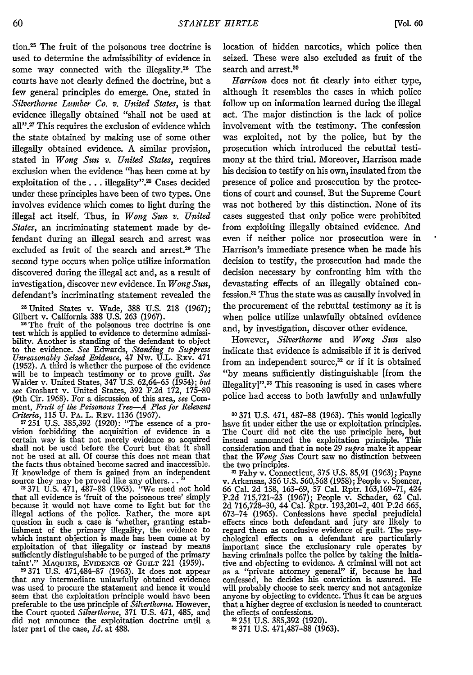tion.<sup>25</sup> The fruit of the poisonous tree doctrine is used to determine the admissibility of evidence in some way connected with the illegality.<sup>26</sup> The courts have not dearly defined the doctrine, but a few general principles do emerge. One, stated in *Silverthorne Lumber Co. v. United States,* is that evidence illegally obtained "shall not be used at all".<sup>27</sup> This requires the exclusion of evidence which the state obtained by making use of some other illegally obtained evidence. A similar provision, stated in *Wong Sun v. United States,* requires exclusion when the evidence "has been come at by exploitation of the ... illegality".<sup>28</sup> Cases decided under these principles have been of two types. One involves evidence which comes to light during the illegal act itself. Thus, in *Wong Sun v. United States,* an incriminating statement made by defendant during an illegal search and arrest was excluded as fruit of the search and arrest.<sup>29</sup> The second type occurs when police utilize information discovered during the illegal act and, as a result of investigation, discover new evidence. In *Wong Sun,* defendant's incriminating statement revealed the

**26** United States v. Wade, 388 U.S. 218 (1967); Gilbert v. California 388 U.S. 263 (1967).

 $26$  The fruit of the poisonous tree doctrine is one test which is applied to evidence to determine admissibility. Another is standing of the defendant to object to the evidence. *See* Edwards, *Standing to Suppress Unreasonably Seized Evidence,* 47 Nw. U.L. REv. 471 (1952). A third is whether the purpose of the evidence will be to impeach testimony or to prove guilt. *See* Walder v. United States, 347 U.S. 62,64-65 (1954); *but see* Groshart v. United States, 392 F.2d 172, 175-80 (9th Cir. 1968). For a discussion of this area, *see* Comment, *Fruit of the Poisonous Tree-A Plea far Relevant*

*Criteria*, 115 U. P.A. L. REV. 1136 (1967).  $a$  251 U.S. 385,392 (1920): "The essence of a provision forbidding the acquisition of evidence in a certain way is that not merely evidence so acquired shall not be used befor shall not be used before the Court but that it shall not be used at all. Of course this does not mean that the facts thus obtained become sacred and inaccessible. If knowledge of them is gained from an independent source they may be proved like any others... **" 371** U.S. 471, 487-88 (1963). "We need not hold

that all evidence is 'fruit of the poisonous tree' simply because it would not have come to light but for the illegal actions of the police. Rather, the more apt question in such a case is 'whether, granting estab-lishment of the primary illegality, the evidence to which instant objection is made has been come at by exploitation of that illegality or instead by means sufficiently distinguishable to be purged of the primary taint'." MAQUIRE, EVIDENCE OF GUILT 221 (1959).<br><sup>29</sup> 371 U.S. 471,484-87 (1963). It does not appear

that any intermediate unlawfully obtained evidence was used to procure the statement and hence it would seem that the exploitation principle would have been preferable to the use principle of *Silrerthorne.* However, the Court quoted *Silverthorne,* 371 U.S. 471, 485, and did not announce the exploitation doctrine until a later part of the case, *Id.* at 488. location of hidden narcotics, which police then seized. These were also excluded as fruit of the search and arrest.<sup>30</sup>

*Harrison* does not fit clearly into either type, although it resembles the cases in which police follow up on information learned during the illegal act. The major distinction is the lack of police involvement with the testimony. The confession was exploited, not by the police, but by the prosecution which introduced the rebuttal testimony at the third trial. Moreover, Harrison made his decision to testify on his own, insulated from the presence of police and prosecution by the protections of court and counsel. But the Supreme Court was not bothered by this distinction. None of its cases suggested that only police were prohibited from exploiting illegally obtained evidence. And even if neither police nor prosecution were in Harrison's immediate presence when he made his decision to testify, the prosecution had made the decision necessary by confronting him with the devastating effects of an illegally obtained confession.21 Thus the state was as causally involved in the procurement of the rebuttal testimony as it is when police utilize unlawfully obtained evidence and, by investigation, discover other evidence.

However, *Silverthorne* and *Wong Sun* also indicate that evidence is admissible if it is derived from an independent source, $32$  or if it is obtained "by means sufficiently distinguishable [from the illegality]".<sup>33</sup> This reasoning is used in cases where police had access to both lawfully and unlawfully

**0 371** U.S. 471, 487-88 (1963). This would logically have fit under either the use or exploitation principles. The Court did not cite the use principle here, but instead announced the exploitation principle. This consideration and that in note 29 *supra* make it appear that the *Wong Sun* Court saw no distinction between the two principles. **"1** Fahy v. Connecticut, 375 U.S. 85,91 (1963); Payne

v. Arkansas, 356 U.S. 560,568 (1958); People v. Spencer<br>66 Cal. 2d 158, 163–69, 57 Cal. Rptr. 163,169–71, 424<br>P.2d 715,721–23 (1967); People v. Schader, 62 Cal<br>2d 716,728–30, 44 Cal. Rptr. 193,201–2, 401 P.2d 665. 673-74 (1965). Confessions have special prejudicial effects since both defendant and jury are likely to regard them as conclusive evidence of guilt. The psychological effects on a defendant are particularly important since the exclusionary rule operates by having criminals police the police by taking the initiative and objecting to evidence. A criminal will not act as a "private attorney general" if, because he had confessed, he decides his conviction is assured. He will probably choose to seek mercy and not antagonize anyone by objecting to evidence. Thus it can be argues that a higher degree of exclusion is needed to counteract the effects of confessions.

**251** U.S. 385,392 (1920).

371 U.S. 471,487-88 (1963).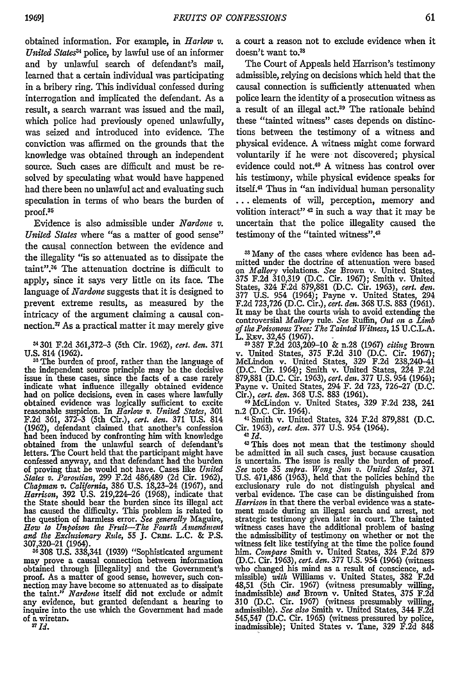obtained information. For example, in *Harlow v. United States<sup>34</sup>* police, by lawful use of an informer and by unlawful search of defendant's mail, learned that a certain individual was participating in a bribery ring. This individual confessed during interrogation and implicated the defendant. As a result, a search warrant was issued and the mail, which police had previously opened unlawfully, was seized and introduced into evidence. The conviction was affirmed on the grounds that the knowledge was obtained through an independent source. Such cases are difficult and must be resolved by speculating what would have happened had there been no unlawful act and evaluating such speculation in terms of who bears the burden of proof.35

Evidence is also admissible under *Nardone v. United States* where "as a matter of good sense" the causal connection between the evidence and the illegality "is so attenuated as to dissipate the taint".<sup>36</sup> The attenuation doctrine is difficult to apply, since it says very little on its face. The language of *Nardone* suggests that it is designed to prevent extreme results, as measured by the intricacy of the argument claiming a causal connection.<sup>37</sup> As a practical matter it may merely give

**-** 301 F.2d 361,372-3 (5th Cir. 1962), *cert. den.* 371 U.S. 814 (1962). **3**

**5** The burden of proof, rather than the language of the independent source principle may be the decisive issue in these cases, since the facts of a case rarely indicate what influence illegally obtained evidence had on police decisions, even in cases where lawfully obtained evidence was logically sufficient to excite reasonable suspicion. In *Harlow v. United States,* 301 F.2d 361, 372-3 (5th Cir.), *cert. den.* 371 U.S. 814 (1962), defendant claimed that another's confession had been induced by confronting him with knowledge obtained from the unlawful search of defendant's letters. The Court held that the participant might have confessed anyway, and that defendant had the burden of proving that he would not have. Cases like *United States v. Paroutian,* 299 F.2d 486,489 (2d Cir. 1962), *Chapman v. California,* 386 U.S. 18,23-24 (1967), and *Harrison,* 392 U.S. 219,224-26 (1968), indicate that the State should bear the burden since its illegal act has caused the difficulty. This problem is related to the question of harmless error. *See generally* Maguire, *How to Unpoison the Fruit-The Fourth Amendment and the Exclusionary Rule,* 55 J. Cm. L.C. & **P.S.** 307,320-21 (1964). 36308 U.S. 338,341 (1939) "Sophisticated argument

may prove a causal connection between information obtained through [illegality] and the Government's proof. As a matter of good sense, however, such con- nection may have become so attenuated as to dissipate the taint." *Nardone* itself did not exclude or admit any evidence, but granted defendant a hearing to inquire into the use which the Government had made of a wiretan. **37** *Id.*

a court a reason not to exclude evidence when it doesn't want to.<sup>33</sup>

The Court of Appeals held Harrison's testimony admissible, relying on decisions which held that the causal connection is sufficiently attenuated when police learn the identity of a prosecution witness as a result of an illegal act.<sup>39</sup> The rationale behind these "tainted witness" cases depends on distinctions between the testimony of a witness and physical evidence. A witness might come forward voluntarily **if** he were not discovered; physical evidence could not.40 A witness has control over his testimony, while physical evidence speaks for itself.<sup>41</sup> Thus in "an individual human personality ... elements of will, perception, memory and volition interact" <sup>42</sup> in such a way that it may be uncertain that the police illegality caused the testimony of the "tainted witness".<sup>43</sup>

<sup>33</sup> Many of the cases where evidence has been ad-<br>mitted under the doctrine of attenuation were based mitted under the doctrine of attenuation were based<br>on *Mallory* violations. See Brown v. United States<br>375 F.2d 310,319 (D.C. Cir. 1967); Smith v. United<br>States, 324 F.2d 879,881 (D.C. Cir. 1963), cert. den.<br>377 U.S. 954 It may be that the courts wish to avoid extending the controversial *Mallory rule. See* Ruffin, *Out on a Limb of the Poisonous Tree: The Tainted Witness,* **15** U.C.L.A.

L. REV. 32,45 (1967).<br>
<sup>29</sup> 387 F.2d 203,209-10 & n.28 (1967) citing Brown<br>
v. United States, 378 F.2d 310 (D.C. Cir. 1967).<br>
McLindon v. United States, 329 F.2d 238,240-41<br>
(D.C. Cir. 1964); Smith v. United States, 224 F. 879,881 (D.C. Cir. 1963), *cert. den.* 377 U.S. 954 (1964); Payne v. United States, 294 F. 2d 723, 726-27 (D.C. Cir.), *cert. den.* 368 U.S. 883 (1961). **40** McLindon v. United States, 329 F.2d 238, 241

n.2 (D.C. Cir. 1964). 41 Smith v. United States, 324 F.2d 879,881 (D.C.

Cir. 1963), *cert. den.* 377 U.S. 954 (1964). *4Id.*

 $42$  *H<sub>3</sub>*. This does not mean that the testimony should be admitted in all such cases, just because causation is uncertain. The issue is really the burden of proof. See note 35 *supra. Wong Sun* v. United States, 371 U.S. 471,486 (1963), held that the policies behind the exclusionary rule do not distinguish physical and verbal evidence. The case can be distinguished from *Harrison* in that there the verbal evidence was a statement made during an illegal search and arrest, not strategic testimony given later in court. The tainted witness cases have the additional problem of basing the admissibility of testimony on whether or not the witness felt like testifying at the time the police found *him. Compare* Smith v. United States, 324 F.2d 879 (D.C. Cir. 1963), *cert. den.* 377 U.S. 954 (1964) (witness who changed his mind as a result of conscience, admissible) *with* Williams v. United States, 382 F.2d 48,51 (5th Cir. 1967) (witness presumably willing, inadmissible) *and* Brown v. United States, 375 F.2d 310 (D.C. Cir. 1967) (witness presumably willing, admissible). *See also* Smith v. United States, 344 F.2d  $545,547$  (D.C. Cir. 1965) (witness pressured by police inadmissible); United States v. Tane, 329 F.2d 848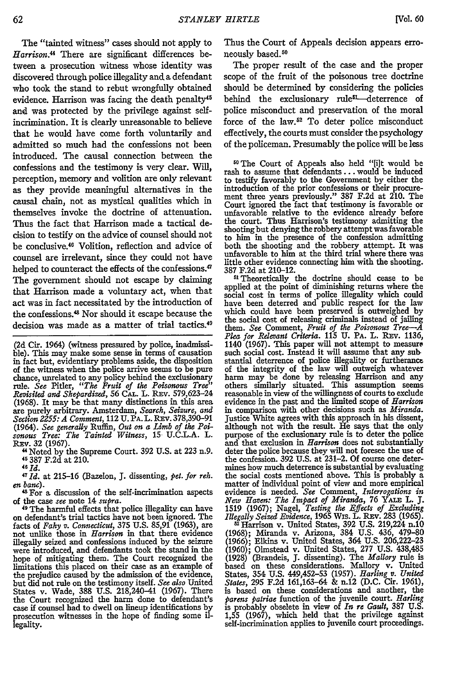The "tainted witness" cases should not apply to *Harrison."* There are significant differences between a prosecution witness whose identity was discovered through police illegality and a defendant who took the stand to rebut wrongfully obtained evidence. Harrison was facing the death penalty45 and was protected by the privilege against selfincrimination. It is dearly unreasonable to believe that he would have come forth voluntarily and admitted so much had the confessions not been introduced. The causal connection between the confessions and the testimony is very dear. Will, perception, memory and volition are only relevant as they provide meaningful alternatives in the causal chain, not as mystical qualities which in themselves invoke the doctrine of attenuation. Thus the fact that Harrison made a tactical decision to testify on the advice of counsel should not be conclusive.<sup>46</sup> Volition, reflection and advice of counsel are irrelevant, since they could not have helped to counteract the effects of the confessions.<sup> $47$ </sup> The government should not escape by claiming that Harrison made a voluntary act, when that act was in fact necessitated by the introduction of the confessions.<sup>48</sup> Nor should it escape because the decision was made as a matter of trial tactics.<sup>49</sup>

(2d Cir. 1964) (witness pressured by police, inadmissible). This may make some sense in terms of causation in fact but, evidentiary problems aside, the disposition of the witness when the police arrive seems to be pure chance, unrelated to any policy behind the exclusionary rule. *See* Pitier, *"The Fruit of the Poisonous Tree" Revisited and Shepardized,* **56 CAL.** L. R v. **579,623-24 (1968).** It may be that many distinctions in this area are purely arbitrary. Amsterdam, *Search, Seizure, and Section 2255: A Comment,* 112 **U.** PA. L. REv. 378,390-91 (1964). *See generally Ruffin, Out on a Limb of the Poisonous Tree: The Tainted Witness,* **15** U.C.L.A. L. RFv. **32** (1967).

4Noted **by** the Supreme Court. **392 U.S.** at **223** n.9. 4 387 **F.2d** at 210. *46 Id.*

*4T Id.* at 215-16 (Bazelon, **J.** dissenting, *pet. for reh. en banc).*

4For a discussion of the self-incrimination aspects

of the case *see* note 14 *supra.* 49 The harmful effects that police illegality can have on defendant's trial tactics have not been ignored. The facts of *Fahy v. Connecticut,* **375** U.S. 85,91 (1963), are not unlike those in *Harrison* in that there evidence illegally seized and confessions induced by the seizure were introduced, and defendants took the stand in the hope of mitigating them. The Court recognized the limitations this placed on their case as an example of the prejudice caused by the admission of the evidence, but did not rule on the testimony itself. *See also* United States v. Wade, 388 U.S. 218,240-41 (1967). There the Court recognized the harm done to defendant's case if counsel had to dwell on lineup identifications by prosecution witnesses in the hope of finding some illegality.

Thus the Court of Appeals decision appears erroneously based.<sup>50</sup>

The proper result of the case and the proper scope of the fruit of the poisonous tree doctrine should be determined by considering the policies behind the exclusionary rule<sup>51</sup>-deterrence of police misconduct and preservation of the moral force of the law.<sup>52</sup> To deter police misconduct effectively, the courts must consider the psychology of the policeman. Presumably the police will be less

**5** The Court of Appeals also held "[ilt would be rash to assume that defendants.., would be induced to testify favorably to the Government by either the introduction of the prior confessions or their procurement three years previously." **387** F.2d at 210. The unfavorable relative to the evidence already before the court. Thus Harrison's testimony admitting the shooting but denying the robbery attempt was favorable to him in the presence of the confession admitting both the shooting and the robbery attempt. It was unfavorable to him at the third trial where there was little other evidence connecting him with the shooting. 387 **F.2d** at 210-12.

<sup>51</sup> Theoretically the doctrine should cease to be applied at the point of diminishing returns where the social cost in terms of police illegality which could have been deterred and public respect for the law which could have been preserved is outweighed by the social cost of releasing criminals instead of jailing them. *See* Comment, *Fruit of the Poisonous Tree-A Plea for Relevant Criteria.* **115 U.** PA. L. REv. 1136, 1140 **(1967).** This paper will not attempt to measure such social cost. Instead it will assume that any sub stantial deterrence of police illegality or furtherance of the integrity of the law will outweigh whatever harm may be done **by** releasing Harrison and any others similarly situated. This assumption seems reasonable in view of the willingness of courts to exclude evidence in the past and the limited scope of *Harrison* in comparison with other decisions such as *Miranda.* Justice White agrees with this approach in his dissent although not with the result. He says that the only purpose of the exclusionary rule is to deter the police and that exclusion in *Harrison* does not substantially deter the police because they will not foresee the use of the confession. 392 U.S. at 231-2. Of course one determines how much deterrence is substantial **by** evaluating the social costs mentioned above. This is probably a matter of individual point of view and more empirical evidence is needed. See Comment, Interrogations in<br>New Haven: The Impact of Miranda, 76 YALE L. J.<br>1519 (1967); Nagel, Testing the Effects of Excluding<br>Illegally Seized Evidence, 1965 WIS. L. REV. 283 (1965). Harrison v. United States, 392 U.S. 219,224 n.10

(1968); Miranda v. Arizona, 384 U.S. 436, 479-80 (1966); Elkins v. United States, 364 U.S. 206,222-23 (1960); Olmstead v. United States, 277 U.S. 438,485 (1928) (Brandeis, J. dissenting). The *Mallory* rule is based on these considerations. Mallory v. United States, 354 U.S. 449,452-53 (1957). *Harling v. United States,* **295 F.2d 161,163-64** & n.12 **(D.C.** Cir. **1961),** is based on these considerations and another, the *parens patriae* function of the juvenile court. *Harling* is probably obselete in view of *In re Gault,* 387 U.S. 1,55 (1967), which held that the privilege against self-incrimination applies to juvenile court proceedings.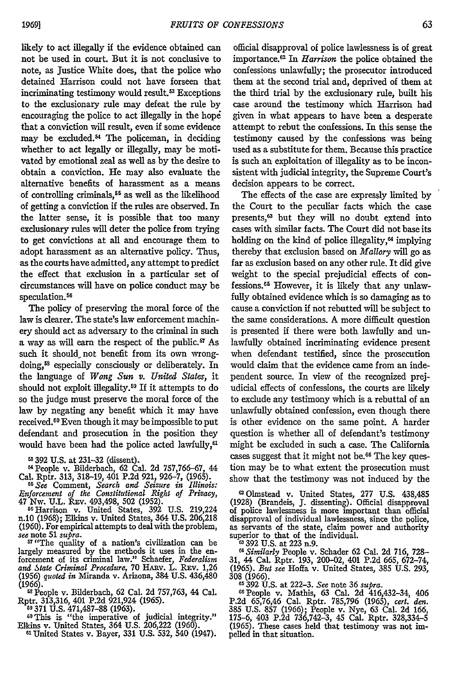likely to act illegally if the evidence obtained can not be used in court. But it is not conclusive to note, as Justice White does, that the police who detained Harrison could not have forseen that incriminating testimony would result.<sup>53</sup> Exceptions to the exclusionary rule may defeat the rule by encouraging the police to act illegally in the hope that a conviction will result, even if some evidence may be excluded.<sup>54</sup> The policeman, in deciding whether to act legally or illegally, may be motivated by emotional zeal as well as by the desire to obtain a conviction. He may also evaluate the alternative benefits of harassment as a means of controlling criminals,<sup>55</sup> as well as the likelihood of getting a conviction if the rules are observed. In the latter sense, it is possible that too many exclusionary rules will deter the police from trying to get convictions at all and encourage them to adopt harassment as an alternative policy. Thus, as the courts have admitted, any attempt to predict the effect that exclusion in a particular set of circumstances will have on police conduct may be speculation.<sup>56</sup>

The policy of preserving the moral force of the law is dearer. The state's law enforcement machinery should act as adversary to the criminal in such a way as will earn the respect of the public.<sup>57</sup> As such it should not benefit from its own wrongdoing,<sup>53</sup> especially consciously or deliberately. In the language of *Wong Sun v. United States,* it should not exploit illegality. 59 If it attempts to do so the judge must preserve the moral force of the law by negating any benefit which it may have received. 60 Even though it may be impossible to put defendant and prosecution in the position they would have been had the police acted lawfully,<sup>61</sup>

**E8** 392 U.S. at 231-32 (dissent).

"People v. Bilderbach, 62 Cal. 2d 757,766-67, 44 Cal. Rptr. 313, 318-19, 401 P.2d 921, 926-7, (1965).

<sup>15</sup> See Comment, *Search and Seizure in Illinois:*<br>*15Sept constitutional Right of Privacy*, *Enforcement of the Constitutional Right of Privacy,*<br>47 Nw. U.L. REv. 493,498, 502 (1952).<br><sup>56</sup> Harrison v. United States, 392 U.S. 219,224<br>n.10 (1968); Elkins v. United States, 364 U.S. 206,218

(1960). For empirical attempts to deal with the problem, *see* note 51 supra.

<sup>57</sup> "The quality of a nation's civilization can be largely measured by the methods it uses in the enlargely measured by the methods it uses in the en-<br>forcement of its criminal law." Schaefer, *Federalism*<br>*and State Criminal Procedure*, 70 HARV. L. REV. 1,26 (1956) *quoted in* Miranda v. Arizona, 384 **U.S.** 436,480 (1966). "People v. Bilderbach, 62 Cal. 2d 757,763, 44 Cal.

Rptr. 313,316, 401 P.2d 921,924 (1965). 69 371 U.S. 471,487-88 (1963).

&0This is "the imperative of judicial integrity." Elkins v. United States, 364 U.S. 206,222 (1960). **<sup>61</sup>**United States v. Bayer, 331 U.S. 532, 540 (1947).

official disapproval of police lawlessness is of great importance.<sup>62</sup> In *Harrison* the police obtained the confessions unlawfully; the prosecutor introduced them at the second trial and, deprived of them at the third trial by the exclusionary rule, built his case around the testimony which Harrison had given in what appears to have been a desperate attempt to rebut the confessions. In this sense the testimony caused by the confessions was being used as a substitute for them. Because this practice is such an exploitation of illegality as to be inconsistent with judicial integrity, the Supreme Court's decision appears to be correct.

The effects of the case are expressly limited by the Court to the peculiar facts which the case presents,<sup>63</sup> but they will no doubt extend into cases with similar facts. The Court did not base its holding on the kind of police illegality, $<sup>64</sup>$  implying</sup> thereby that exclusion based on *Mallory* will go as far as exclusion based on any other rule. It did give weight to the special prejudicial effects of confessions.<sup>65</sup> However, it is likely that any unlawfully obtained evidence which is so damaging as to cause a conviction if not rebutted will be subject to the same considerations. A more difficult question is presented if there were both lawfully and unlawfully obtained incriminating evidence present when defendant testified, since the prosecution would claim that the evidence came from an independent source. In view of the recognized prejudicial effects of confessions, the courts are likely to exclude any testimony which is a rebuttal of an unlawfully obtained confession, even though there is other evidence on the same point. A harder question is whether all of defendant's testimony might be excluded in such a case. The California cases suggest that it might not be.<sup>66</sup> The key question may be to what extent the prosecution must show that the testimony was not induced by the

1Olmstead v. United States, 277 U.S. 438,485 (1928) (Brandeis, J. dissenting). Official disapproval of police lawlessness is more important than official disapproval of individual lawlessness, since the police, as servants of the state, claim power and authority superior to that of the individual.<br> $\frac{\text{cs}}{\text{s}}$  392 U.S. at 223 n.9.

*4Similarly* People v. Schader 62 Cal. 2d 716 728- 31, 44 Cal. Rptr. 193, 200-02, 401 P.2d 665, 672-74, (1965). *But see* Hoffa v. United States, 385 U.S. 293, 308 (1966).

<sup>65</sup> 392 U.S. at 222-3. See note 36 supra.<br>
<sup>66</sup> People v. Mathis, 63 Cal. 2d 416,432-34, 406<br>
P.2d 65,76,46 Cal. Rptr. 785,796 (1965), cert. den.<br>
385 U.S. 857 (1966); People v. Nye, 63 Cal. 2d 166,<br>
175-6, 403 P.2d 736,7 pelled in that situation.